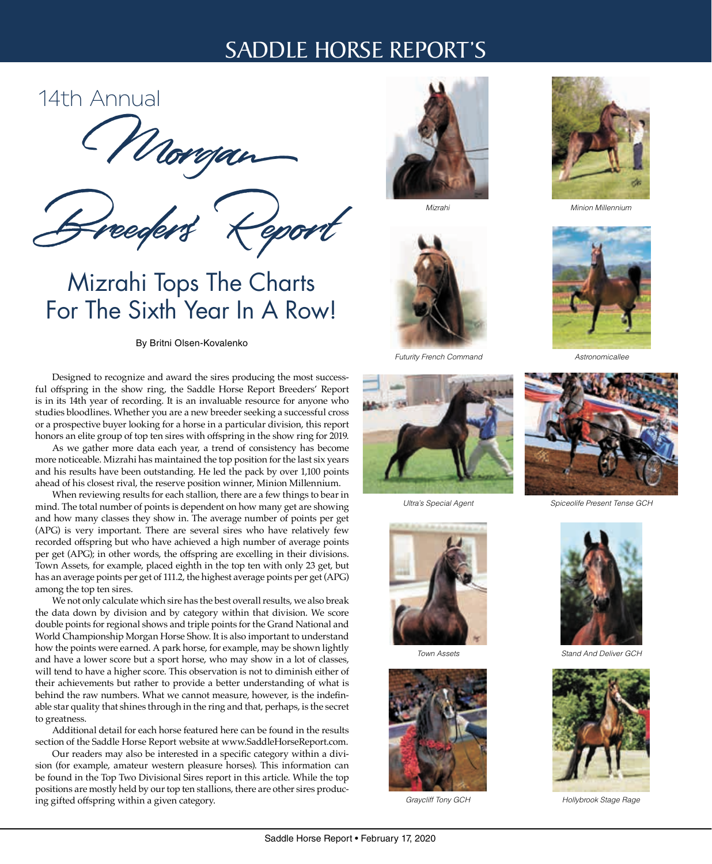# SADDLE HORSE REPORT'S

# 14th Annual

Morgan

Breeders' Report

# Mizrahi Tops The Charts For The Sixth Year In A Row!

By Britni Olsen-Kovalenko

Designed to recognize and award the sires producing the most successful offspring in the show ring, the Saddle Horse Report Breeders' Report is in its 14th year of recording. It is an invaluable resource for anyone who studies bloodlines. Whether you are a new breeder seeking a successful cross or a prospective buyer looking for a horse in a particular division, this report honors an elite group of top ten sires with offspring in the show ring for 2019.

As we gather more data each year, a trend of consistency has become more noticeable. Mizrahi has maintained the top position for the last six years and his results have been outstanding. He led the pack by over 1,100 points ahead of his closest rival, the reserve position winner, Minion Millennium.

When reviewing results for each stallion, there are a few things to bear in mind. The total number of points is dependent on how many get are showing and how many classes they show in. The average number of points per get (APG) is very important. There are several sires who have relatively few recorded offspring but who have achieved a high number of average points per get (APG); in other words, the offspring are excelling in their divisions. Town Assets, for example, placed eighth in the top ten with only 23 get, but has an average points per get of 111.2, the highest average points per get (APG) among the top ten sires.

We not only calculate which sire has the best overall results, we also break the data down by division and by category within that division. We score double points for regional shows and triple points for the Grand National and World Championship Morgan Horse Show. It is also important to understand how the points were earned. A park horse, for example, may be shown lightly and have a lower score but a sport horse, who may show in a lot of classes, will tend to have a higher score. This observation is not to diminish either of their achievements but rather to provide a better understanding of what is behind the raw numbers. What we cannot measure, however, is the indefinable star quality that shines through in the ring and that, perhaps, is the secret to greatness.

Additional detail for each horse featured here can be found in the results section of the Saddle Horse Report website at www.SaddleHorseReport.com.

Our readers may also be interested in a specific category within a division (for example, amateur western pleasure horses). This information can be found in the Top Two Divisional Sires report in this article. While the top positions are mostly held by our top ten stallions, there are other sires producing gifted offspring within a given category.



*Mizrahi*



*Futurity French Command*



*Ultra's Special Agent*



*Town Assets*



*Graycliff Tony GCH*



*Minion Millennium*



*Astronomicallee*



*Spiceolife Present Tense GCH*



*Stand And Deliver GCH*



*Hollybrook Stage Rage*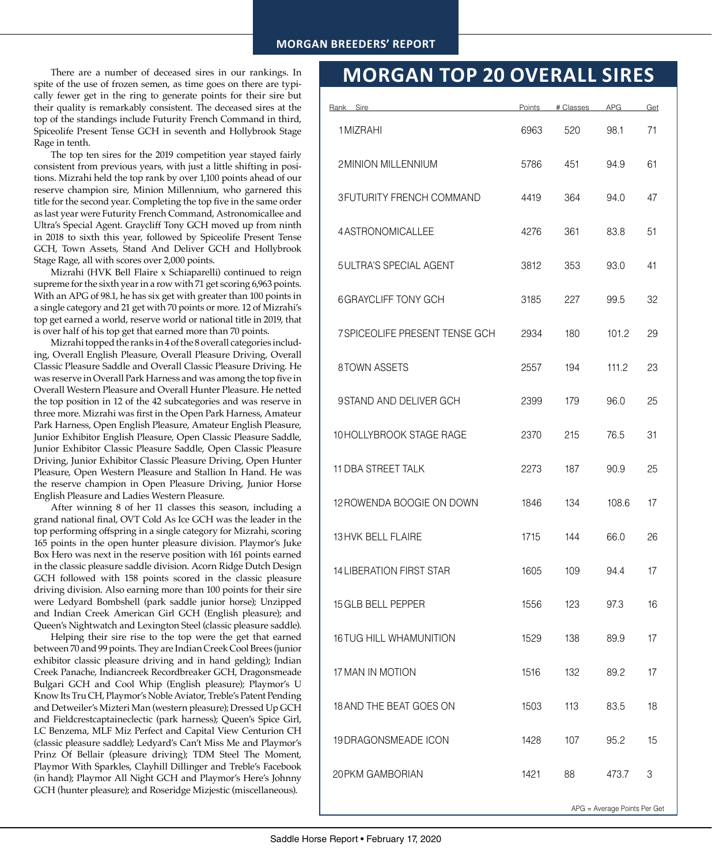# **MORGAN BREEDERS' REPORT**

There are a number of deceased sires in our rankings. In spite of the use of frozen semen, as time goes on there are typically fewer get in the ring to generate points for their sire but their quality is remarkably consistent. The deceased sires at the top of the standings include Futurity French Command in third, Spiceolife Present Tense GCH in seventh and Hollybrook Stage Rage in tenth.

The top ten sires for the 2019 competition year stayed fairly consistent from previous years, with just a little shifting in positions. Mizrahi held the top rank by over 1,100 points ahead of our reserve champion sire, Minion Millennium, who garnered this title for the second year. Completing the top five in the same order as last year were Futurity French Command, Astronomicallee and Ultra's Special Agent. Graycliff Tony GCH moved up from ninth in 2018 to sixth this year, followed by Spiceolife Present Tense GCH, Town Assets, Stand And Deliver GCH and Hollybrook Stage Rage, all with scores over 2,000 points.

Mizrahi (HVK Bell Flaire x Schiaparelli) continued to reign supreme for the sixth year in a row with 71 get scoring 6,963 points. With an APG of 98.1, he has six get with greater than 100 points in a single category and 21 get with 70 points or more. 12 of Mizrahi's top get earned a world, reserve world or national title in 2019, that is over half of his top get that earned more than 70 points.

Mizrahi topped the ranks in 4 of the 8 overall categories including, Overall English Pleasure, Overall Pleasure Driving, Overall Classic Pleasure Saddle and Overall Classic Pleasure Driving. He was reserve in Overall Park Harness and was among the top five in Overall Western Pleasure and Overall Hunter Pleasure. He netted the top position in 12 of the 42 subcategories and was reserve in three more. Mizrahi was first in the Open Park Harness, Amateur Park Harness, Open English Pleasure, Amateur English Pleasure, Junior Exhibitor English Pleasure, Open Classic Pleasure Saddle, Junior Exhibitor Classic Pleasure Saddle, Open Classic Pleasure Driving, Junior Exhibitor Classic Pleasure Driving, Open Hunter Pleasure, Open Western Pleasure and Stallion In Hand. He was the reserve champion in Open Pleasure Driving, Junior Horse English Pleasure and Ladies Western Pleasure.

After winning 8 of her 11 classes this season, including a grand national final, OVT Cold As Ice GCH was the leader in the top performing offspring in a single category for Mizrahi, scoring 165 points in the open hunter pleasure division. Playmor's Juke Box Hero was next in the reserve position with 161 points earned in the classic pleasure saddle division. Acorn Ridge Dutch Design GCH followed with 158 points scored in the classic pleasure driving division. Also earning more than 100 points for their sire were Ledyard Bombshell (park saddle junior horse); Unzipped and Indian Creek American Girl GCH (English pleasure); and Queen's Nightwatch and Lexington Steel (classic pleasure saddle).

Helping their sire rise to the top were the get that earned between 70 and 99 points. They are Indian Creek Cool Brees (junior exhibitor classic pleasure driving and in hand gelding); Indian Creek Panache, Indiancreek Recordbreaker GCH, Dragonsmeade Bulgari GCH and Cool Whip (English pleasure); Playmor's U Know Its Tru CH, Playmor's Noble Aviator, Treble's Patent Pending and Detweiler's Mizteri Man (western pleasure); Dressed Up GCH and Fieldcrestcaptaineclectic (park harness); Queen's Spice Girl, LC Benzema, MLF Miz Perfect and Capital View Centurion CH (classic pleasure saddle); Ledyard's Can't Miss Me and Playmor's Prinz Of Bellair (pleasure driving); TDM Steel The Moment, Playmor With Sparkles, Clayhill Dillinger and Treble's Facebook (in hand); Playmor All Night GCH and Playmor's Here's Johnny GCH (hunter pleasure); and Roseridge Mizjestic (miscellaneous).

# **MORGAN TOP 20 OVERALL SIRES**

| Rank Sire                             | Points | # Classes | <b>APG</b> | Get |
|---------------------------------------|--------|-----------|------------|-----|
| 1 MIZRAHI                             | 6963   | 520       | 98.1       | 71  |
| <b>2MINION MILLENNIUM</b>             | 5786   | 451       | 94.9       | 61  |
| <b>3FUTURITY FRENCH COMMAND</b>       | 4419   | 364       | 94.0       | 47  |
| 4ASTRONOMICALLEE                      | 4276   | 361       | 83.8       | 51  |
| <b>5ULTRA'S SPECIAL AGENT</b>         | 3812   | 353       | 93.0       | 41  |
| <b>6GRAYCLIFF TONY GCH</b>            | 3185   | 227       | 99.5       | 32  |
| <b>7 SPICEOLIFE PRESENT TENSE GCH</b> | 2934   | 180       | 101.2      | 29  |
| 8TOWN ASSETS                          | 2557   | 194       | 111.2      | 23  |
| 9STAND AND DELIVER GCH                | 2399   | 179       | 96.0       | 25  |
| 10 HOLLYBROOK STAGE RAGE              | 2370   | 215       | 76.5       | 31  |
| <b>11 DBA STREET TALK</b>             | 2273   | 187       | 90.9       | 25  |
| 12 ROWENDA BOOGIE ON DOWN             | 1846   | 134       | 108.6      | 17  |
| <b>13 HVK BELL FLAIRE</b>             | 1715   | 144       | 66.0       | 26  |
| <b>14 LIBERATION FIRST STAR</b>       | 1605   | 109       | 94.4       | 17  |
| 15 GLB BELL PEPPER                    | 1556   | 123       | 97.3       | 16  |
| <b>16 TUG HILL WHAMUNITION</b>        | 1529   | 138       | 89.9       | 17  |
| 17 MAN IN MOTION                      | 1516   | 132       | 89.2       | 17  |
| 18 AND THE BEAT GOES ON               | 1503   | 113       | 83.5       | 18  |
| 19 DRAGONSMEADE ICON                  | 1428   | 107       | 95.2       | 15  |
| 20 PKM GAMBORIAN                      | 1421   | 88        | 473.7      | 3   |
| APG = Average Points Per Get          |        |           |            |     |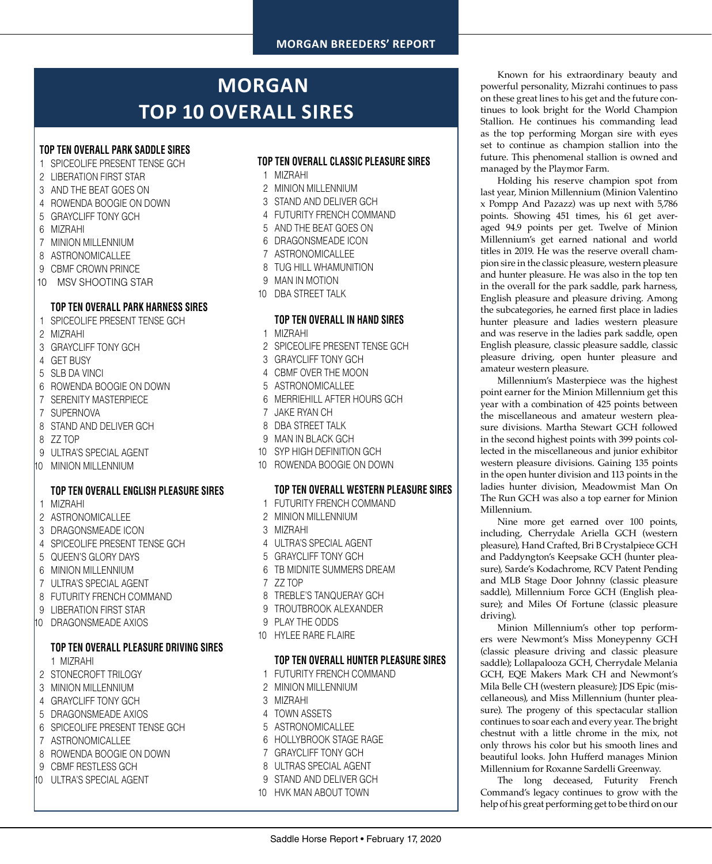# **MORGAN BREEDERS' REPORT**

# **MORGAN TOP 10 OVERALL SIRES**

# **TOP TEN OVERALL PARK SADDLE SIRES**

- 1 SPICEOLIFE PRESENT TENSE GCH
- 2 LIBERATION FIRST STAR
- 3 AND THE BEAT GOES ON
- 4 ROWENDA BOOGIE ON DOWN
- 5 GRAYCLIFF TONY GCH
- 6 MIZRAHI
- 7 MINION MILLENNIUM
- 8 ASTRONOMICALLEE
- 9 CBMF CROWN PRINCE
- 10 MSV SHOOTING STAR

### **TOP TEN OVERALL PARK HARNESS SIRES**

- 1 SPICEOLIFE PRESENT TENSE GCH
- 2 MIZRAHI
- 3 GRAYCLIFF TONY GCH
- 4 GET BUSY
- 5 SLB DA VINCI
- 6 ROWENDA BOOGIE ON DOWN
- 7 SERENITY MASTERPIECE
- 7 SUPERNOVA
- 8 STAND AND DELIVER GCH
- 8 ZZ TOP
- 9 ULTRA'S SPECIAL AGENT
- 10 MINION MILLENNIUM

# **TOP TEN OVERALL ENGLISH PLEASURE SIRES**

- 1 MIZRAHI
- 2 ASTRONOMICALLEE
- 3 DRAGONSMEADE ICON
- 4 SPICEOLIFE PRESENT TENSE GCH
- 5 QUEEN'S GLORY DAYS
- 6 MINION MILLENNIUM
- 7 ULTRA'S SPECIAL AGENT
- 8 FUTURITY FRENCH COMMAND
- 9 LIBERATION FIRST STAR
- 10 DRAGONSMEADE AXIOS

# **TOP TEN OVERALL PLEASURE DRIVING SIRES**

1 MIZRAHI

- 2 STONECROFT TRILOGY
- 3 MINION MILLENNIUM
- 4 GRAYCLIFF TONY GCH
- 5 DRAGONSMEADE AXIOS
- 6 SPICEOLIFE PRESENT TENSE GCH
- 7 ASTRONOMICALLEE
- 8 ROWENDA BOOGIE ON DOWN
- 9 CBMF RESTLESS GCH
- 10 ULTRA'S SPECIAL AGENT

# **TOP TEN OVERALL CLASSIC PLEASURE SIRES**

- 1 MIZRAHI
- 2 MINION MILLENNIUM
- 3 STAND AND DELIVER GCH
- 4 FUTURITY FRENCH COMMAND
- 5 AND THE BEAT GOES ON
- 6 DRAGONSMEADE ICON
- 7 ASTRONOMICALLEE
- 8 TUG HILL WHAMUNITION
- 9 MAN IN MOTION
- 10 DBA STREET TALK

### **TOP TEN OVERALL IN HAND SIRES**

- 1 MIZRAHI
- 2 SPICEOLIFE PRESENT TENSE GCH
- 3 GRAYCLIFF TONY GCH
- 4 CBMF OVER THE MOON
- 5 ASTRONOMICALLEE
- 6 MERRIEHILL AFTER HOURS GCH
- 7 JAKE RYAN CH
- 8 DBA STREET TALK
- 9 MAN IN BLACK GCH
- 10 SYP HIGH DEFINITION GCH
- 10 ROWENDA BOOGIE ON DOWN

#### **TOP TEN OVERALL WESTERN PLEASURE SIRES**

- 1 FUTURITY FRENCH COMMAND
- 2 MINION MILLENNIUM
- 3 MIZRAHI
- 4 ULTRA'S SPECIAL AGENT
- 5 GRAYCLIFF TONY GCH
- 6 TB MIDNITE SUMMERS DREAM
- 7 ZZ TOP
- 8 TREBLE'S TANQUERAY GCH
- 9 TROUTBROOK ALEXANDER
- 9 PLAY THE ODDS
- 10 HYLEE RARE FLAIRE

### **TOP TEN OVERALL HUNTER PLEASURE SIRES**

Saddle Horse Report • February 17, 2020

- 1 FUTURITY FRENCH COMMAND
- 2 MINION MILLENNIUM
- 3 MIZRAHI
- 4 TOWN ASSETS
- 5 ASTRONOMICALLEE
- 6 HOLLYBROOK STAGE RAGE
- 7 GRAYCLIFF TONY GCH
- 8 ULTRAS SPECIAL AGENT
- 9 STAND AND DELIVER GCH
- 10 HVK MAN ABOUT TOWN

Known for his extraordinary beauty and powerful personality, Mizrahi continues to pass on these great lines to his get and the future continues to look bright for the World Champion Stallion. He continues his commanding lead as the top performing Morgan sire with eyes set to continue as champion stallion into the future. This phenomenal stallion is owned and managed by the Playmor Farm.

Holding his reserve champion spot from last year, Minion Millennium (Minion Valentino x Pompp And Pazazz) was up next with 5,786 points. Showing 451 times, his 61 get averaged 94.9 points per get. Twelve of Minion Millennium's get earned national and world titles in 2019. He was the reserve overall champion sire in the classic pleasure, western pleasure and hunter pleasure. He was also in the top ten in the overall for the park saddle, park harness, English pleasure and pleasure driving. Among the subcategories, he earned first place in ladies hunter pleasure and ladies western pleasure and was reserve in the ladies park saddle, open English pleasure, classic pleasure saddle, classic pleasure driving, open hunter pleasure and amateur western pleasure.

Millennium's Masterpiece was the highest point earner for the Minion Millennium get this year with a combination of 425 points between the miscellaneous and amateur western pleasure divisions. Martha Stewart GCH followed in the second highest points with 399 points collected in the miscellaneous and junior exhibitor western pleasure divisions. Gaining 135 points in the open hunter division and 113 points in the ladies hunter division, Meadowmist Man On The Run GCH was also a top earner for Minion Millennium.

Nine more get earned over 100 points, including, Cherrydale Ariella GCH (western pleasure), Hand Crafted, Bri B Crystalpiece GCH and Paddyngton's Keepsake GCH (hunter pleasure), Sarde's Kodachrome, RCV Patent Pending and MLB Stage Door Johnny (classic pleasure saddle), Millennium Force GCH (English pleasure); and Miles Of Fortune (classic pleasure driving).

Minion Millennium's other top performers were Newmont's Miss Moneypenny GCH (classic pleasure driving and classic pleasure saddle); Lollapalooza GCH, Cherrydale Melania GCH, EQE Makers Mark CH and Newmont's Mila Belle CH (western pleasure); JDS Epic (miscellaneous), and Miss Millennium (hunter pleasure). The progeny of this spectacular stallion continues to soar each and every year. The bright chestnut with a little chrome in the mix, not only throws his color but his smooth lines and beautiful looks. John Hufferd manages Minion Millennium for Roxanne Sardelli Greenway.

The long deceased, Futurity French Command's legacy continues to grow with the help of his great performing get to be third on our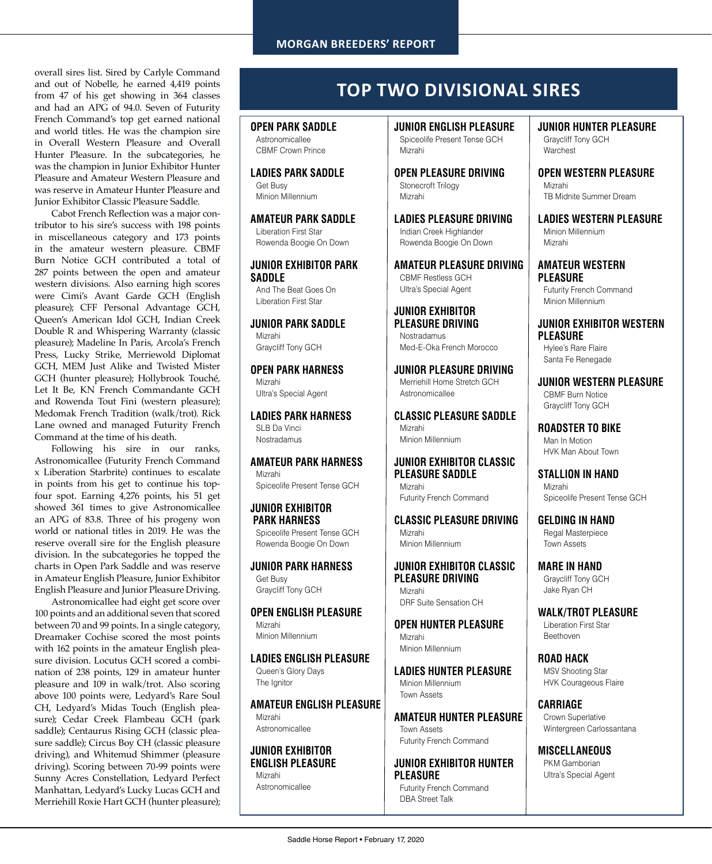overall sires list. Sired by Carlyle Command and out of Nobelle, he earned 4,419 points from 47 of his get showing in 364 classes and had an APG of 94.0. Seven of Futurity French Command's top get earned national and world titles. He was the champion sire in Overall Western Pleasure and Overall Hunter Pleasure. In the subcategories, he was the champion in Junior Exhibitor Hunter Pleasure and Amateur Western Pleasure and was reserve in Amateur Hunter Pleasure and Junior Exhibitor Classic Pleasure Saddle.

Cabot French Reflection was a major contributor to his sire's success with 198 points in miscellaneous category and 173 points in the amateur western pleasure. CBMF Burn Notice GCH contributed a total of 287 points between the open and amateur western divisions. Also earning high scores were Cimi's Avant Garde GCH (English pleasure); CFF Personal Advantage GCH, Queen's American Idol GCH, Indian Creek Double R and Whispering Warranty (classic pleasure); Madeline In Paris, Arcola's French Press, Lucky Strike, Merriewold Diplomat GCH, MEM Just Alike and Twisted Mister GCH (hunter pleasure); Hollybrook Touché, Let It Be, KN French Commandante GCH and Rowenda Tout Fini (western pleasure); Medomak French Tradition (walk/trot). Rick Lane owned and managed Futurity French Command at the time of his death.

Following his sire in our ranks, Astronomicallee (Futurity French Command x Liberation Starbrite) continues to escalate in points from his get to continue his topfour spot. Earning 4,276 points, his 51 get showed 361 times to give Astronomicallee an APG of 83.8. Three of his progeny won world or national titles in 2019. He was the reserve overall sire for the English pleasure division. In the subcategories he topped the charts in Open Park Saddle and was reserve in Amateur English Pleasure, Junior Exhibitor English Pleasure and Junior Pleasure Driving.

Astronomicallee had eight get score over 100 points and an additional seven that scored between 70 and 99 points. In a single category, Dreamaker Cochise scored the most points with 162 points in the amateur English pleasure division. Locutus GCH scored a combination of 238 points, 129 in amateur hunter pleasure and 109 in walk/trot. Also scoring above 100 points were, Ledyard's Rare Soul CH, Ledyard's Midas Touch (English pleasure); Cedar Creek Flambeau GCH (park saddle); Centaurus Rising GCH (classic pleasure saddle); Circus Boy CH (classic pleasure driving), and Whitemud Shimmer (pleasure driving). Scoring between 70-99 points were Sunny Acres Constellation, Ledyard Perfect Manhattan, Ledyard's Lucky Lucas GCH and Merriehill Roxie Hart GCH (hunter pleasure);

# **TOP TWO DIVISIONAL SIRES**

#### **OPEN PARK SADDLE** Astronomicallee

CBMF Crown Prince

**LADIES PARK SADDLE** Get Busy Minion Millennium

**AMATEUR PARK SADDLE**

Liberation First Star Rowenda Boogie On Down

### **JUNIOR EXHIBITOR PARK SADDLE**

And The Beat Goes On Liberation First Star

### **JUNIOR PARK SADDLE**

Mizrahi Graycliff Tony GCH

**OPEN PARK HARNESS** Mizrahi

Ultra's Special Agent

**LADIES PARK HARNESS** SLB Da Vinci

**Nostradamus** 

#### **AMATEUR PARK HARNESS** Mizrahi

Spiceolife Present Tense GCH

### **JUNIOR EXHIBITOR PARK HARNESS**

Spiceolife Present Tense GCH Rowenda Boogie On Down

**JUNIOR PARK HARNESS** Get Busy Graycliff Tony GCH

**OPEN ENGLISH PLEASURE** Mizrahi Minion Millennium

**LADIES ENGLISH PLEASURE** Queen's Glory Days The Ignitor

# **AMATEUR ENGLISH PLEASURE**

Mizrahi Astronomicallee

## **JUNIOR EXHIBITOR ENGLISH PLEASURE** Mizrahi

Astronomicallee

**JUNIOR ENGLISH PLEASURE** Spiceolife Present Tense GCH Mizrahi

**OPEN PLEASURE DRIVING** Stonecroft Trilogy Mizrahi

**LADIES PLEASURE DRIVING** Indian Creek Highlander Rowenda Boogie On Down

**AMATEUR PLEASURE DRIVING** CBMF Restless GCH Ultra's Special Agent

#### **JUNIOR EXHIBITOR PLEASURE DRIVING Nostradamus** Med-E-Oka French Morocco

**JUNIOR PLEASURE DRIVING** Merriehill Home Stretch GCH Astronomicallee

**CLASSIC PLEASURE SADDLE** Mizrahi Minion Millennium

### **JUNIOR EXHIBITOR CLASSIC PLEASURE SADDLE**

Mizrahi Futurity French Command

**CLASSIC PLEASURE DRIVING** Mizrahi Minion Millennium

#### **JUNIOR EXHIBITOR CLASSIC PLEASURE DRIVING**  Mizrahi

DRF Suite Sensation CH

**OPEN HUNTER PLEASURE** Mizrahi Minion Millennium

**LADIES HUNTER PLEASURE** Minion Millennium Town Assets

**AMATEUR HUNTER PLEASURE** Town Assets Futurity French Command

**JUNIOR EXHIBITOR HUNTER PLEASURE** Futurity French Command DBA Street Talk

**JUNIOR HUNTER PLEASURE** Graycliff Tony GCH Warchest

**OPEN WESTERN PLEASURE** Mizrahi TB Midnite Summer Dream

**LADIES WESTERN PLEASURE** Minion Millennium Mizrahi

# **AMATEUR WESTERN PLEASURE**

Futurity French Command Minion Millennium

**JUNIOR EXHIBITOR WESTERN PLEASURE** Hylee's Rare Flaire Santa Fe Renegade

**JUNIOR WESTERN PLEASURE** CBMF Burn Notice Graycliff Tony GCH

**ROADSTER TO BIKE** Man In Motion

HVK Man About Town

**STALLION IN HAND** Mizrahi

Spiceolife Present Tense GCH

**GELDING IN HAND** Regal Masterpiece Town Assets

**MARE IN HAND** Graycliff Tony GCH Jake Ryan CH

**WALK/TROT PLEASURE** Liberation First Star Beethoven

**ROAD HACK** MSV Shooting Star HVK Courageous Flaire

**CARRIAGE** Crown Superlative Wintergreen Carlossantana

**MISCELLANEOUS** PKM Gamborian Ultra's Special Agent